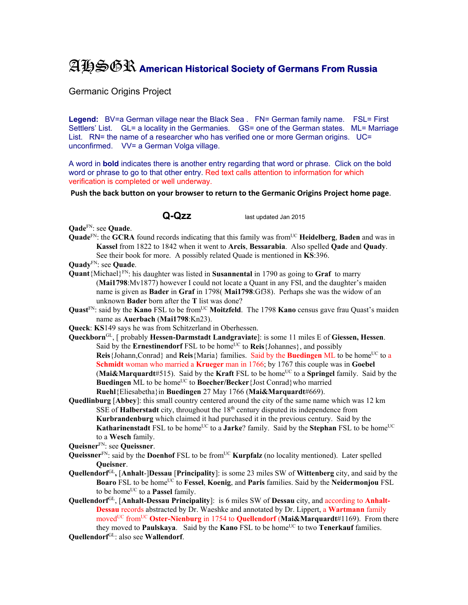## AHSGR **American Historical Society of Germans From Russia**

Germanic Origins Project

Legend: BV=a German village near the Black Sea . FN= German family name. FSL= First Settlers' List. GL= a locality in the Germanies. GS= one of the German states. ML= Marriage List. RN= the name of a researcher who has verified one or more German origins. UC= unconfirmed. VV= a German Volga village.

A word in **bold** indicates there is another entry regarding that word or phrase. Click on the bold word or phrase to go to that other entry. Red text calls attention to information for which verification is completed or well underway.

## **Push the back button on your browser to return to the Germanic Origins Project home page**.

**Q-Qzz** last updated Jan 2015

**Qade**FN: see **Quade**.

- **Quade**<sup>FN</sup>: the **GCRA** found records indicating that this family was from<sup>UC</sup> **Heidelberg**, **Baden** and was in **Kassel** from 1822 to 1842 when it went to **Arcis**, **Bessarabia**. Also spelled **Qade** and **Quady**. See their book for more. A possibly related Quade is mentioned in **KS**:396.
- **Quady**FN: see **Quade**.
- **Quant**{Michael}FN: his daughter was listed in **Susannental** in 1790 as going to **Graf** to marry (**Mai1798**:Mv1877) however I could not locate a Quant in any FSl, and the daughter's maiden name is given as **Bader** in **Graf** in 1798( **Mai1798**:Gf38). Perhaps she was the widow of an unknown **Bader** born after the **T** list was done?
- **Quast**<sup>FN</sup>: said by the **Kano** FSL to be from<sup>UC</sup> Moitzfeld. The 1798 **Kano** census gave frau Quast's maiden name as **Auerbach** (**Mai1798**:Kn23).
- **Queck**: **KS**149 says he was from Schitzerland in Oberhessen.
- **Queckborn**GL, [ probably **Hessen-Darmstadt Landgraviate**]: is some 11 miles E of **Giessen, Hessen**. Said by the **Ernestinendorf** FSL to be home<sup>UC</sup> to **Reis**{Johannes}, and possibly **Reis**{Johann,Conrad} and **Reis**{Maria} families. Said by the **Buedingen** ML to be home<sup>UC</sup> to a **Schmidt** woman who married a **Krueger** man in 1766; by 1767 this couple was in **Goebel (Mai&Marquardt**#515). Said by the **Kraft** FSL to be home<sup>UC</sup> to a **Springel** family. Said by the **Buedingen** ML to be home<sup>UC</sup> to **Boecher/Becker**{Jost Conrad}who married **Ruehl**{Eliesabetha}in **Buedingen** 27 May 1766 (**Mai&Marquardt**#669).
- **Quedlinburg** [**Abbey**]: this small country centered around the city of the same name which was 12 km SSE of **Halberstadt** city, throughout the  $18<sup>th</sup>$  century disputed its independence from **Kurbrandenburg** which claimed it had purchased it in the previous century. Said by the **Katharinenstadt** FSL to be home<sup>UC</sup> to a **Jarke**? family. Said by the **Stephan** FSL to be home<sup>UC</sup> to a **Wesch** family.

- Queissner<sup>FN</sup>: said by the **Doenhof** FSL to be from<sup>UC</sup> **Kurpfalz** (no locality mentioned). Later spelled **Queisner**.
- **Quellendorf**GL**,** [**Anhalt**-]**Dessau** [**Principality**]: is some 23 miles SW of **Wittenberg** city, and said by the **Boaro** FSL to be homeUC to **Fessel**, **Koenig**, and **Paris** families. Said by the **Neidermonjou** FSL to be home<sup>UC</sup> to a **Passel** family.
- **Quellendorf**GL, [**Anhalt-Dessau Principality**]: is 6 miles SW of **Dessau** city, and according to **Anhalt-Dessau** records abstracted by Dr. Waeshke and annotated by Dr. Lippert, a **Wartmann** family movedUC fromUC **Oster-Nienburg** in 1754 to **Quellendorf** (**Mai&Marquardt**#1169). From there they moved to **Paulskaya**. Said by the **Kano** FSL to be home<sup>UC</sup> to two **Tenerkauf** families.

**Queisner**FN: see **Queissner**.

**Quellendorf**GL: also see **Wallendorf**.